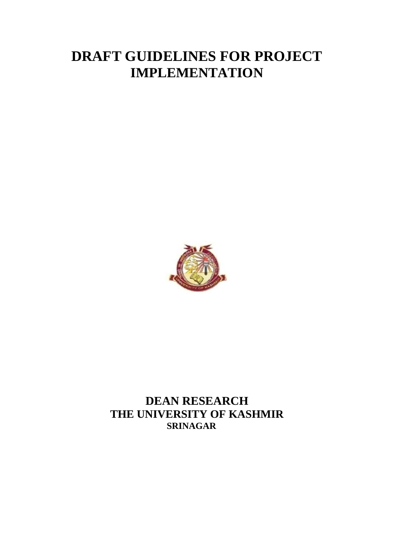# **DRAFT GUIDELINES FOR PROJECT IMPLEMENTATION**



**DEAN RESEARCH THE UNIVERSITY OF KASHMIR SRINAGAR**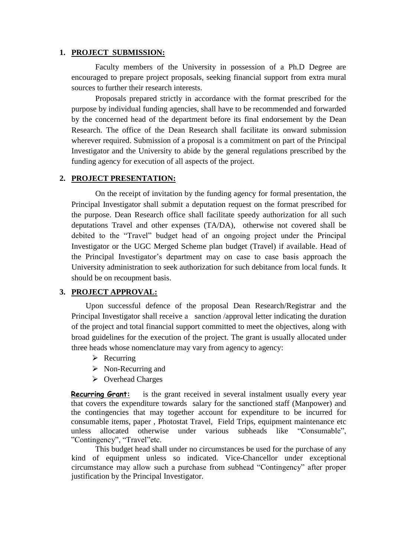#### **1. PROJECT SUBMISSION:**

Faculty members of the University in possession of a Ph.D Degree are encouraged to prepare project proposals, seeking financial support from extra mural sources to further their research interests.

Proposals prepared strictly in accordance with the format prescribed for the purpose by individual funding agencies, shall have to be recommended and forwarded by the concerned head of the department before its final endorsement by the Dean Research. The office of the Dean Research shall facilitate its onward submission wherever required. Submission of a proposal is a commitment on part of the Principal Investigator and the University to abide by the general regulations prescribed by the funding agency for execution of all aspects of the project.

#### **2. PROJECT PRESENTATION:**

On the receipt of invitation by the funding agency for formal presentation, the Principal Investigator shall submit a deputation request on the format prescribed for the purpose. Dean Research office shall facilitate speedy authorization for all such deputations Travel and other expenses (TA/DA), otherwise not covered shall be debited to the "Travel" budget head of an ongoing project under the Principal Investigator or the UGC Merged Scheme plan budget (Travel) if available. Head of the Principal Investigator's department may on case to case basis approach the University administration to seek authorization for such debitance from local funds. It should be on recoupment basis.

### **3. PROJECT APPROVAL:**

Upon successful defence of the proposal Dean Research/Registrar and the Principal Investigator shall receive a sanction /approval letter indicating the duration of the project and total financial support committed to meet the objectives, along with broad guidelines for the execution of the project. The grant is usually allocated under three heads whose nomenclature may vary from agency to agency:

- $\triangleright$  Recurring
- $\triangleright$  Non-Recurring and
- $\triangleright$  Overhead Charges

**Recurring Grant:** is the grant received in several instalment usually every year that covers the expenditure towards salary for the sanctioned staff (Manpower) and the contingencies that may together account for expenditure to be incurred for consumable items, paper , Photostat Travel, Field Trips, equipment maintenance etc unless allocated otherwise under various subheads like "Consumable", "Contingency", "Travel"etc.

This budget head shall under no circumstances be used for the purchase of any kind of equipment unless so indicated. Vice-Chancellor under exceptional circumstance may allow such a purchase from subhead "Contingency" after proper justification by the Principal Investigator.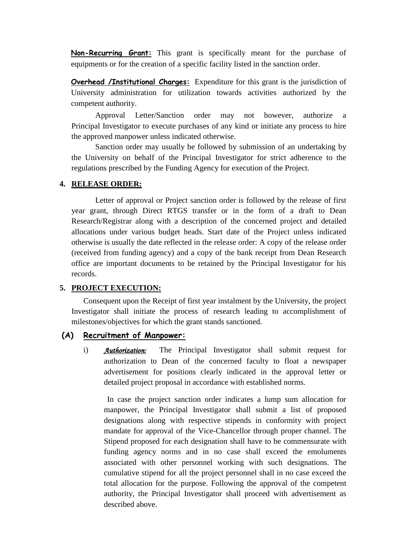**Non-Recurring Grant:** This grant is specifically meant for the purchase of equipments or for the creation of a specific facility listed in the sanction order.

**Overhead /Institutional Charges:** Expenditure for this grant is the jurisdiction of University administration for utilization towards activities authorized by the competent authority.

Approval Letter/Sanction order may not however, authorize a Principal Investigator to execute purchases of any kind or initiate any process to hire the approved manpower unless indicated otherwise.

Sanction order may usually be followed by submission of an undertaking by the University on behalf of the Principal Investigator for strict adherence to the regulations prescribed by the Funding Agency for execution of the Project.

#### **4. RELEASE ORDER:**

Letter of approval or Project sanction order is followed by the release of first year grant, through Direct RTGS transfer or in the form of a draft to Dean Research/Registrar along with a description of the concerned project and detailed allocations under various budget heads. Start date of the Project unless indicated otherwise is usually the date reflected in the release order: A copy of the release order (received from funding agency) and a copy of the bank receipt from Dean Research office are important documents to be retained by the Principal Investigator for his records.

#### **5. PROJECT EXECUTION:**

Consequent upon the Receipt of first year instalment by the University, the project Investigator shall initiate the process of research leading to accomplishment of milestones/objectives for which the grant stands sanctioned.

## **(A) Recruitment of Manpower:**

i) *Authorization:* The Principal Investigator shall submit request for authorization to Dean of the concerned faculty to float a newspaper advertisement for positions clearly indicated in the approval letter or detailed project proposal in accordance with established norms.

In case the project sanction order indicates a lump sum allocation for manpower, the Principal Investigator shall submit a list of proposed designations along with respective stipends in conformity with project mandate for approval of the Vice-Chancellor through proper channel. The Stipend proposed for each designation shall have to be commensurate with funding agency norms and in no case shall exceed the emoluments associated with other personnel working with such designations. The cumulative stipend for all the project personnel shall in no case exceed the total allocation for the purpose. Following the approval of the competent authority, the Principal Investigator shall proceed with advertisement as described above.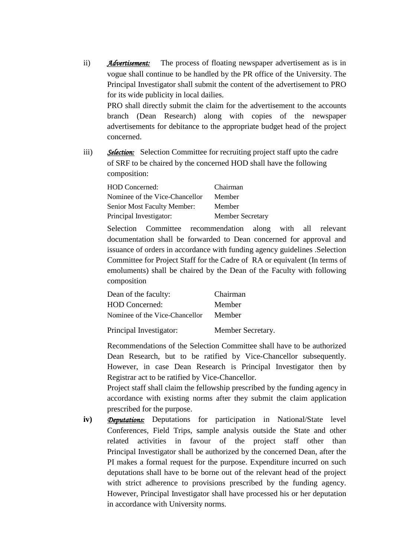ii) *Advertisement:*The process of floating newspaper advertisement as is in vogue shall continue to be handled by the PR office of the University. The Principal Investigator shall submit the content of the advertisement to PRO for its wide publicity in local dailies.

PRO shall directly submit the claim for the advertisement to the accounts branch (Dean Research) along with copies of the newspaper advertisements for debitance to the appropriate budget head of the project concerned.

iii) *Selection:* Selection Committee for recruiting project staff upto the cadre of SRF to be chaired by the concerned HOD shall have the following composition:

| <b>HOD</b> Concerned:          | Chairman                |
|--------------------------------|-------------------------|
| Nominee of the Vice-Chancellor | Member                  |
| Senior Most Faculty Member:    | Member                  |
| Principal Investigator:        | <b>Member Secretary</b> |

Selection Committee recommendation along with all relevant documentation shall be forwarded to Dean concerned for approval and issuance of orders in accordance with funding agency guidelines .Selection Committee for Project Staff for the Cadre of RA or equivalent (In terms of emoluments) shall be chaired by the Dean of the Faculty with following composition

| Dean of the faculty:           | Chairman          |
|--------------------------------|-------------------|
| <b>HOD</b> Concerned:          | Member            |
| Nominee of the Vice-Chancellor | Member            |
| Principal Investigator:        | Member Secretary. |

Recommendations of the Selection Committee shall have to be authorized Dean Research, but to be ratified by Vice-Chancellor subsequently. However, in case Dean Research is Principal Investigator then by Registrar act to be ratified by Vice-Chancellor.

Project staff shall claim the fellowship prescribed by the funding agency in accordance with existing norms after they submit the claim application prescribed for the purpose.

**iv)** *Deputations:* Deputations for participation in National/State level Conferences, Field Trips, sample analysis outside the State and other related activities in favour of the project staff other than Principal Investigator shall be authorized by the concerned Dean, after the PI makes a formal request for the purpose. Expenditure incurred on such deputations shall have to be borne out of the relevant head of the project with strict adherence to provisions prescribed by the funding agency. However, Principal Investigator shall have processed his or her deputation in accordance with University norms.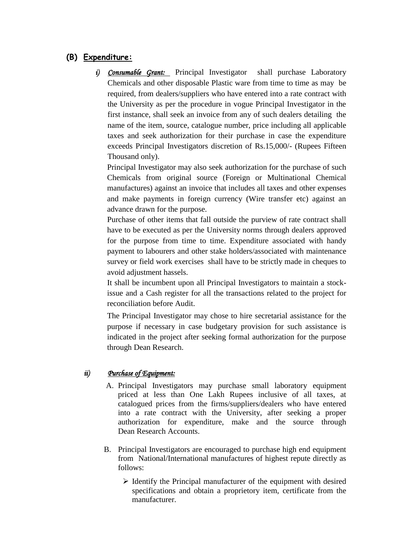# **(B) Expenditure:**

*i) Consumable Grant:* Principal Investigator shall purchase Laboratory Chemicals and other disposable Plastic ware from time to time as may be required, from dealers/suppliers who have entered into a rate contract with the University as per the procedure in vogue Principal Investigator in the first instance, shall seek an invoice from any of such dealers detailing the name of the item, source, catalogue number, price including all applicable taxes and seek authorization for their purchase in case the expenditure exceeds Principal Investigators discretion of Rs.15,000/- (Rupees Fifteen Thousand only).

Principal Investigator may also seek authorization for the purchase of such Chemicals from original source (Foreign or Multinational Chemical manufactures) against an invoice that includes all taxes and other expenses and make payments in foreign currency (Wire transfer etc) against an advance drawn for the purpose.

Purchase of other items that fall outside the purview of rate contract shall have to be executed as per the University norms through dealers approved for the purpose from time to time. Expenditure associated with handy payment to labourers and other stake holders/associated with maintenance survey or field work exercises shall have to be strictly made in cheques to avoid adjustment hassels.

It shall be incumbent upon all Principal Investigators to maintain a stockissue and a Cash register for all the transactions related to the project for reconciliation before Audit.

The Principal Investigator may chose to hire secretarial assistance for the purpose if necessary in case budgetary provision for such assistance is indicated in the project after seeking formal authorization for the purpose through Dean Research.

# *ii) Purchase of Equipment:*

- A. Principal Investigators may purchase small laboratory equipment priced at less than One Lakh Rupees inclusive of all taxes, at catalogued prices from the firms/suppliers/dealers who have entered into a rate contract with the University, after seeking a proper authorization for expenditure, make and the source through Dean Research Accounts.
- B. Principal Investigators are encouraged to purchase high end equipment from National/International manufactures of highest repute directly as follows:
	- $\triangleright$  Identify the Principal manufacturer of the equipment with desired specifications and obtain a proprietory item, certificate from the manufacturer.